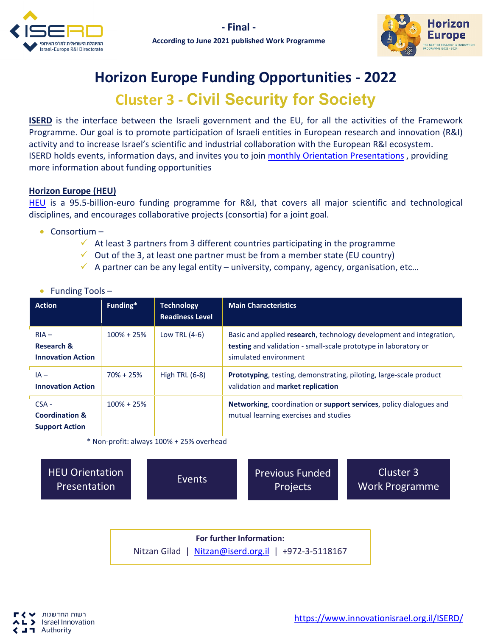



## **Horizon Europe Funding Opportunities - 2022**

## **Cluster 3 - Civil Security for Society**

**ISERD** is the interface between the Israeli government and the EU, for all the activities of the Framework Programme. Our goal is to promote participation of Israeli entities in European research and innovation (R&I) activity and to increase Israel's scientific and industrial collaboration with the European R&I ecosystem. ISERD holds events, information days, and invites you to join [monthly Orientation Presentations](https://www.innovationisrael.org.il/ISERD/page/news-events?title=orient&term_node_tid_depth=All) , providing more information about funding opportunities

## **Horizon Europe (HEU)**

[HEU](https://ec.europa.eu/info/horizon-europe_en) is a 95.5-billion-euro funding programme for R&I, that covers all major scientific and technological disciplines, and encourages collaborative projects (consortia) for a joint goal.

• Consortium –

• Funding Tools –

- $\checkmark$  At least 3 partners from 3 different countries participating in the programme
- $\checkmark$  Out of the 3, at least one partner must be from a member state (EU country)
- $\checkmark$  A partner can be any legal entity university, company, agency, organisation, etc...

| <b>Action</b>                                                 | Funding*       | <b>Technology</b><br><b>Readiness Level</b> | <b>Main Characteristics</b>                                                                                                                                            |
|---------------------------------------------------------------|----------------|---------------------------------------------|------------------------------------------------------------------------------------------------------------------------------------------------------------------------|
| $RIA -$<br><b>Research &amp;</b><br><b>Innovation Action</b>  | $100\% + 25\%$ | Low TRL (4-6)                               | Basic and applied research, technology development and integration,<br><b>testing</b> and validation - small-scale prototype in laboratory or<br>simulated environment |
| $IA -$<br><b>Innovation Action</b>                            | $70\% + 25\%$  | High TRL $(6-8)$                            | <b>Prototyping</b> , testing, demonstrating, piloting, large-scale product<br>validation and market replication                                                        |
| $CSA -$<br><b>Coordination &amp;</b><br><b>Support Action</b> | $100\% + 25\%$ |                                             | Networking, coordination or support services, policy dialogues and<br>mutual learning exercises and studies                                                            |

\* Non-profit: always 100% + 25% overhead

[HEU Orientation](https://youtu.be/Gpy-8uDGedU)  EU Orientation **Execute Execute Previous Funded**<br>Presentation **Profects** Projects

Cluster 3 [Work Programme](https://ec.europa.eu/info/funding-tenders/opportunities/docs/2021-2027/horizon/wp-call/2021-2022/wp-6-civil-security-for-society_horizon-2021-2022_en.pdf)

**For further Information:**  Nitzan Gilad | [Nitzan@iserd.org.il](mailto:Nitzan@iserd.org.il) | +972-3-5118167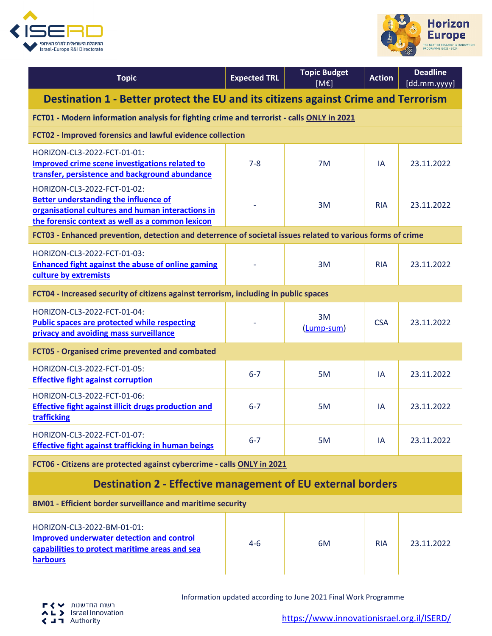



| <b>Topic</b>                                                                                                                                                                         | <b>Expected TRL</b> | <b>Topic Budget</b><br>[ME] | <b>Action</b> | <b>Deadline</b><br>[dd.mm.yyyy] |  |
|--------------------------------------------------------------------------------------------------------------------------------------------------------------------------------------|---------------------|-----------------------------|---------------|---------------------------------|--|
| Destination 1 - Better protect the EU and its citizens against Crime and Terrorism                                                                                                   |                     |                             |               |                                 |  |
| FCT01 - Modern information analysis for fighting crime and terrorist - calls ONLY in 2021                                                                                            |                     |                             |               |                                 |  |
| FCT02 - Improved forensics and lawful evidence collection                                                                                                                            |                     |                             |               |                                 |  |
| HORIZON-CL3-2022-FCT-01-01:<br>Improved crime scene investigations related to<br>transfer, persistence and background abundance                                                      | $7 - 8$             | 7M                          | ΙA            | 23.11.2022                      |  |
| HORIZON-CL3-2022-FCT-01-02:<br><b>Better understanding the influence of</b><br>organisational cultures and human interactions in<br>the forensic context as well as a common lexicon |                     | 3M                          | <b>RIA</b>    | 23.11.2022                      |  |
| FCT03 - Enhanced prevention, detection and deterrence of societal issues related to various forms of crime                                                                           |                     |                             |               |                                 |  |
| HORIZON-CL3-2022-FCT-01-03:<br><b>Enhanced fight against the abuse of online gaming</b><br>culture by extremists                                                                     |                     | 3M                          | <b>RIA</b>    | 23.11.2022                      |  |
| FCT04 - Increased security of citizens against terrorism, including in public spaces                                                                                                 |                     |                             |               |                                 |  |
| HORIZON-CL3-2022-FCT-01-04:<br><b>Public spaces are protected while respecting</b><br>privacy and avoiding mass surveillance                                                         |                     | 3M<br>(Lump-sum)            | <b>CSA</b>    | 23.11.2022                      |  |
| FCT05 - Organised crime prevented and combated                                                                                                                                       |                     |                             |               |                                 |  |
| HORIZON-CL3-2022-FCT-01-05:<br><b>Effective fight against corruption</b>                                                                                                             | $6 - 7$             | 5M                          | IA            | 23.11.2022                      |  |
| HORIZON-CL3-2022-FCT-01-06:<br><b>Effective fight against illicit drugs production and</b><br>trafficking                                                                            | $6 - 7$             | 5M                          | ΙA            | 23.11.2022                      |  |
| HORIZON-CL3-2022-FCT-01-07:<br><b>Effective fight against trafficking in human beings</b>                                                                                            | $6 - 7$             | 5M                          | IA            | 23.11.2022                      |  |
| FCT06 - Citizens are protected against cybercrime - calls ONLY in 2021                                                                                                               |                     |                             |               |                                 |  |
| <b>Destination 2 - Effective management of EU external borders</b>                                                                                                                   |                     |                             |               |                                 |  |
| <b>BM01 - Efficient border surveillance and maritime security</b>                                                                                                                    |                     |                             |               |                                 |  |
| HORIZON-CL3-2022-BM-01-01:<br><b>Improved underwater detection and control</b><br>capabilities to protect maritime areas and sea<br>harbours                                         | $4 - 6$             | 6M                          | <b>RIA</b>    | 23.11.2022                      |  |

Information updated according to June 2021 Final Work Programme

[https://www.innovationisrael.org.il/ISERD/](https://www.innovationisrael.org.il/ISERD)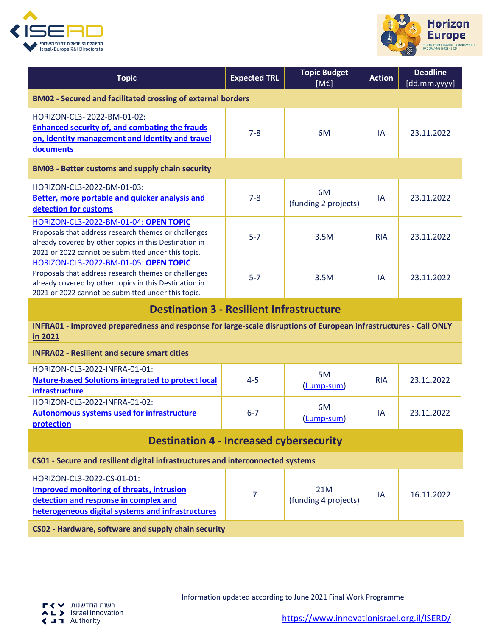



| <b>Topic</b>                                                                                                                                                                                                  | <b>Expected TRL</b> | <b>Topic Budget</b><br>[ME] | <b>Action</b> | <b>Deadline</b><br>[dd.mm.yyyy] |  |
|---------------------------------------------------------------------------------------------------------------------------------------------------------------------------------------------------------------|---------------------|-----------------------------|---------------|---------------------------------|--|
| <b>BM02 - Secured and facilitated crossing of external borders</b>                                                                                                                                            |                     |                             |               |                                 |  |
| HORIZON-CL3-2022-BM-01-02:<br><b>Enhanced security of, and combating the frauds</b><br>on, identity management and identity and travel<br>documents                                                           | $7 - 8$             | 6M                          | IA            | 23.11.2022                      |  |
| <b>BM03 - Better customs and supply chain security</b>                                                                                                                                                        |                     |                             |               |                                 |  |
| HORIZON-CL3-2022-BM-01-03:<br><b>Better, more portable and quicker analysis and</b><br>detection for customs                                                                                                  | $7 - 8$             | 6M<br>(funding 2 projects)  | IA            | 23.11.2022                      |  |
| HORIZON-CL3-2022-BM-01-04: OPEN TOPIC<br>Proposals that address research themes or challenges<br>already covered by other topics in this Destination in<br>2021 or 2022 cannot be submitted under this topic. | $5 - 7$             | 3.5M                        | <b>RIA</b>    | 23.11.2022                      |  |
| HORIZON-CL3-2022-BM-01-05: OPEN TOPIC<br>Proposals that address research themes or challenges<br>already covered by other topics in this Destination in<br>2021 or 2022 cannot be submitted under this topic. | $5 - 7$             | 3.5M                        | IA            | 23.11.2022                      |  |
| <b>Destination 3 - Resilient Infrastructure</b>                                                                                                                                                               |                     |                             |               |                                 |  |
| INFRA01 - Improved preparedness and response for large-scale disruptions of European infrastructures - Call ONLY<br>in 2021                                                                                   |                     |                             |               |                                 |  |
| <b>INFRA02 - Resilient and secure smart cities</b>                                                                                                                                                            |                     |                             |               |                                 |  |
| HORIZON-CL3-2022-INFRA-01-01:<br><b>Nature-based Solutions integrated to protect local</b><br>infrastructure                                                                                                  | $4 - 5$             | 5M<br>(Lump-sum)            | <b>RIA</b>    | 23.11.2022                      |  |
| HORIZON-CL3-2022-INFRA-01-02:<br><b>Autonomous systems used for infrastructure</b><br>protection                                                                                                              | $6 - 7$             | 6M<br>(Lump-sum)            | IA            | 23.11.2022                      |  |
| <b>Destination 4 - Increased cybersecurity</b>                                                                                                                                                                |                     |                             |               |                                 |  |
| CS01 - Secure and resilient digital infrastructures and interconnected systems                                                                                                                                |                     |                             |               |                                 |  |
| HORIZON-CL3-2022-CS-01-01:<br><b>Improved monitoring of threats, intrusion</b><br>detection and response in complex and<br>heterogeneous digital systems and infrastructures                                  | 7                   | 21M<br>(funding 4 projects) | IA            | 16.11.2022                      |  |
| CS02 - Hardware, software and supply chain security                                                                                                                                                           |                     |                             |               |                                 |  |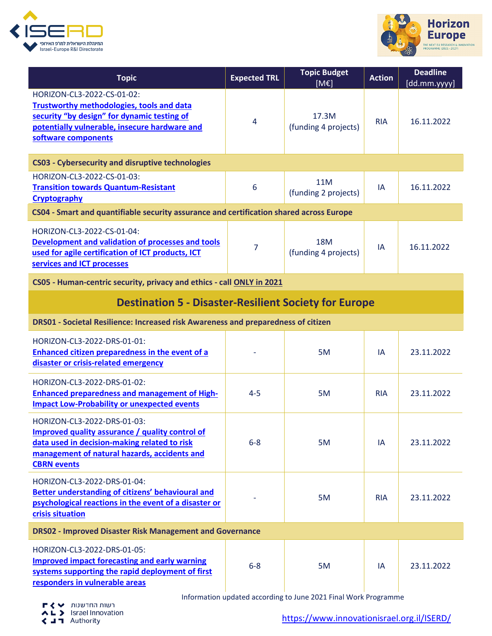



| <b>Topic</b>                                                                                                                                                                                          | <b>Expected TRL</b> | <b>Topic Budget</b><br>[ME]        | <b>Action</b> | <b>Deadline</b><br>[dd.mm.yyyy] |
|-------------------------------------------------------------------------------------------------------------------------------------------------------------------------------------------------------|---------------------|------------------------------------|---------------|---------------------------------|
| HORIZON-CL3-2022-CS-01-02:<br><b>Trustworthy methodologies, tools and data</b><br>security "by design" for dynamic testing of<br>potentially vulnerable, insecure hardware and<br>software components | 4                   | 17.3M<br>(funding 4 projects)      | <b>RIA</b>    | 16.11.2022                      |
| <b>CS03 - Cybersecurity and disruptive technologies</b>                                                                                                                                               |                     |                                    |               |                                 |
| HORIZON-CL3-2022-CS-01-03:<br><b>Transition towards Quantum-Resistant</b><br>Cryptography                                                                                                             | 6                   | 11M<br>(funding 2 projects)        | IA            | 16.11.2022                      |
| CS04 - Smart and quantifiable security assurance and certification shared across Europe                                                                                                               |                     |                                    |               |                                 |
| HORIZON-CL3-2022-CS-01-04:<br>Development and validation of processes and tools<br>used for agile certification of ICT products, ICT<br>services and ICT processes                                    | 7                   | <b>18M</b><br>(funding 4 projects) | IA            | 16.11.2022                      |
| CS05 - Human-centric security, privacy and ethics - call ONLY in 2021                                                                                                                                 |                     |                                    |               |                                 |
| <b>Destination 5 - Disaster-Resilient Society for Europe</b>                                                                                                                                          |                     |                                    |               |                                 |
| DRS01 - Societal Resilience: Increased risk Awareness and preparedness of citizen                                                                                                                     |                     |                                    |               |                                 |
| HORIZON-CL3-2022-DRS-01-01:<br><b>Enhanced citizen preparedness in the event of a</b><br>disaster or crisis-related emergency                                                                         |                     | 5M                                 | IA            | 23.11.2022                      |
| HORIZON-CL3-2022-DRS-01-02:<br><b>Enhanced preparedness and management of High-</b><br><b>Impact Low-Probability or unexpected events</b>                                                             | $4 - 5$             | 5M                                 | <b>RIA</b>    | 23.11.2022                      |
| HORIZON-CL3-2022-DRS-01-03:<br>Improved quality assurance / quality control of<br>data used in decision-making related to risk<br>management of natural hazards, accidents and<br><b>CBRN</b> events  | $6 - 8$             | 5M                                 | IA            | 23.11.2022                      |
| HORIZON-CL3-2022-DRS-01-04:<br><b>Better understanding of citizens' behavioural and</b><br>psychological reactions in the event of a disaster or<br>crisis situation                                  |                     | 5M                                 | <b>RIA</b>    | 23.11.2022                      |
| <b>DRS02 - Improved Disaster Risk Management and Governance</b>                                                                                                                                       |                     |                                    |               |                                 |
| HORIZON-CL3-2022-DRS-01-05:<br><b>Improved impact forecasting and early warning</b><br>systems supporting the rapid deployment of first<br>responders in vulnerable areas                             | $6 - 8$             | 5M                                 | IA            | 23.11.2022                      |

Information updated according to June 2021 Final Work Programme

רשות החדשנות<br>AL > Israel Innovation<br>< Authority

[https://www.innovationisrael.org.il/ISERD/](https://www.innovationisrael.org.il/ISERD)